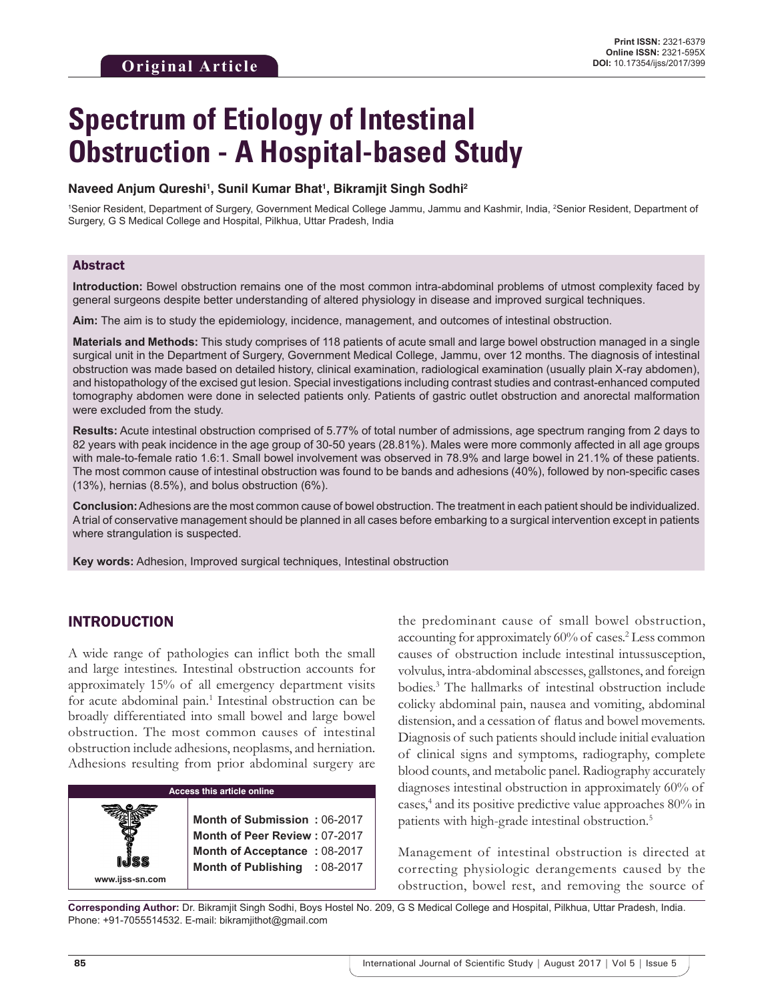# **Spectrum of Etiology of Intestinal Obstruction - A Hospital-based Study**

#### **Naveed Anjum Qureshi1 , Sunil Kumar Bhat1 , Bikramjit Singh Sodhi2**

1 Senior Resident, Department of Surgery, Government Medical College Jammu, Jammu and Kashmir, India, 2 Senior Resident, Department of Surgery, G S Medical College and Hospital, Pilkhua, Uttar Pradesh, India

#### Abstract

**Introduction:** Bowel obstruction remains one of the most common intra-abdominal problems of utmost complexity faced by general surgeons despite better understanding of altered physiology in disease and improved surgical techniques.

**Aim:** The aim is to study the epidemiology, incidence, management, and outcomes of intestinal obstruction.

**Materials and Methods:** This study comprises of 118 patients of acute small and large bowel obstruction managed in a single surgical unit in the Department of Surgery, Government Medical College, Jammu, over 12 months. The diagnosis of intestinal obstruction was made based on detailed history, clinical examination, radiological examination (usually plain X-ray abdomen), and histopathology of the excised gut lesion. Special investigations including contrast studies and contrast-enhanced computed tomography abdomen were done in selected patients only. Patients of gastric outlet obstruction and anorectal malformation were excluded from the study.

**Results:** Acute intestinal obstruction comprised of 5.77% of total number of admissions, age spectrum ranging from 2 days to 82 years with peak incidence in the age group of 30-50 years (28.81%). Males were more commonly affected in all age groups with male-to-female ratio 1.6:1. Small bowel involvement was observed in 78.9% and large bowel in 21.1% of these patients. The most common cause of intestinal obstruction was found to be bands and adhesions (40%), followed by non-specific cases (13%), hernias (8.5%), and bolus obstruction (6%).

**Conclusion:** Adhesions are the most common cause of bowel obstruction. The treatment in each patient should be individualized. Atrial of conservative management should be planned in all cases before embarking to a surgical intervention except in patients where strangulation is suspected.

**Key words:** Adhesion, Improved surgical techniques, Intestinal obstruction

## INTRODUCTION

**www.ijss-sn.com**

A wide range of pathologies can inflict both the small and large intestines. Intestinal obstruction accounts for approximately 15% of all emergency department visits for acute abdominal pain.<sup>1</sup> Intestinal obstruction can be broadly differentiated into small bowel and large bowel obstruction. The most common causes of intestinal obstruction include adhesions, neoplasms, and herniation. Adhesions resulting from prior abdominal surgery are

## **Access this article online**

**Month of Submission :** 06-2017 **Month of Peer Review :** 07-2017 **Month of Acceptance :** 08-2017 **Month of Publishing :** 08-2017 the predominant cause of small bowel obstruction, accounting for approximately 60% of cases.<sup>2</sup> Less common causes of obstruction include intestinal intussusception, volvulus, intra-abdominal abscesses, gallstones, and foreign bodies.3 The hallmarks of intestinal obstruction include colicky abdominal pain, nausea and vomiting, abdominal distension, and a cessation of flatus and bowel movements. Diagnosis of such patients should include initial evaluation of clinical signs and symptoms, radiography, complete blood counts, and metabolic panel. Radiography accurately diagnoses intestinal obstruction in approximately 60% of cases,<sup>4</sup> and its positive predictive value approaches 80% in patients with high-grade intestinal obstruction.<sup>5</sup>

Management of intestinal obstruction is directed at correcting physiologic derangements caused by the obstruction, bowel rest, and removing the source of

**Corresponding Author:** Dr. Bikramjit Singh Sodhi, Boys Hostel No. 209, G S Medical College and Hospital, Pilkhua, Uttar Pradesh, India. Phone: +91-7055514532. E-mail: bikramjithot@gmail.com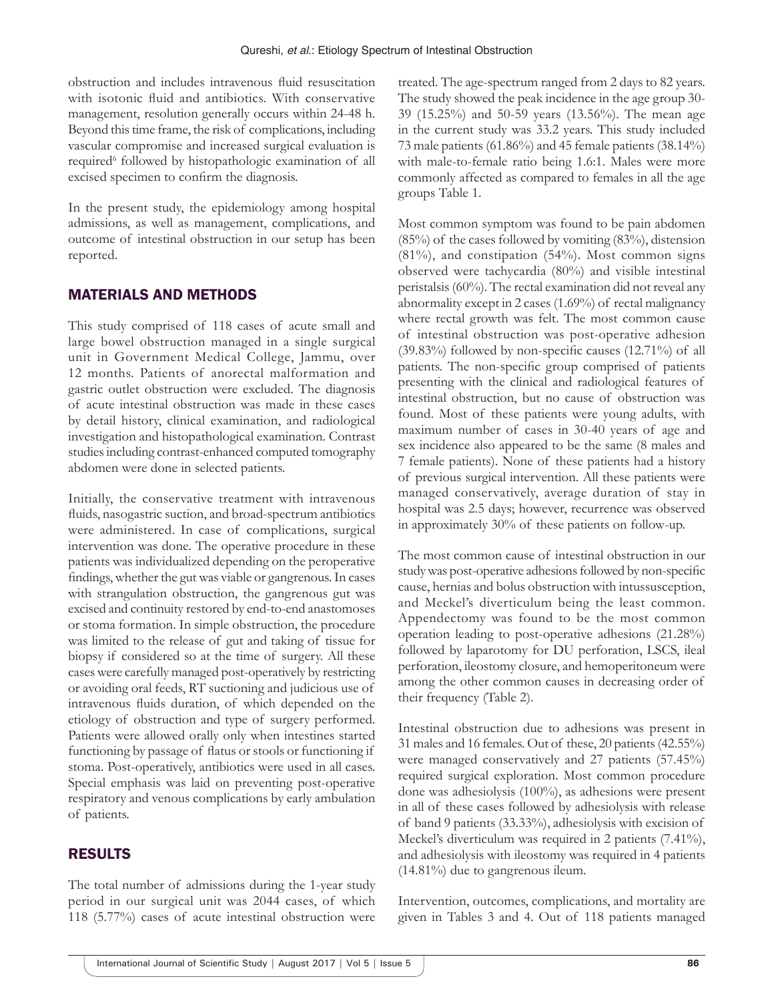obstruction and includes intravenous fluid resuscitation with isotonic fluid and antibiotics. With conservative management, resolution generally occurs within 24-48 h. Beyond this time frame, the risk of complications, including vascular compromise and increased surgical evaluation is required<sup>6</sup> followed by histopathologic examination of all excised specimen to confirm the diagnosis.

In the present study, the epidemiology among hospital admissions, as well as management, complications, and outcome of intestinal obstruction in our setup has been reported.

## MATERIALS AND METHODS

This study comprised of 118 cases of acute small and large bowel obstruction managed in a single surgical unit in Government Medical College, Jammu, over 12 months. Patients of anorectal malformation and gastric outlet obstruction were excluded. The diagnosis of acute intestinal obstruction was made in these cases by detail history, clinical examination, and radiological investigation and histopathological examination. Contrast studies including contrast-enhanced computed tomography abdomen were done in selected patients.

Initially, the conservative treatment with intravenous fluids, nasogastric suction, and broad-spectrum antibiotics were administered. In case of complications, surgical intervention was done. The operative procedure in these patients was individualized depending on the peroperative findings, whether the gut was viable or gangrenous. In cases with strangulation obstruction, the gangrenous gut was excised and continuity restored by end-to-end anastomoses or stoma formation. In simple obstruction, the procedure was limited to the release of gut and taking of tissue for biopsy if considered so at the time of surgery. All these cases were carefully managed post-operatively by restricting or avoiding oral feeds, RT suctioning and judicious use of intravenous fluids duration, of which depended on the etiology of obstruction and type of surgery performed. Patients were allowed orally only when intestines started functioning by passage of flatus or stools or functioning if stoma. Post-operatively, antibiotics were used in all cases. Special emphasis was laid on preventing post-operative respiratory and venous complications by early ambulation of patients.

## RESULTS

The total number of admissions during the 1-year study period in our surgical unit was 2044 cases, of which 118 (5.77%) cases of acute intestinal obstruction were treated. The age-spectrum ranged from 2 days to 82 years. The study showed the peak incidence in the age group 30- 39 (15.25%) and 50-59 years (13.56%). The mean age in the current study was 33.2 years. This study included 73 male patients (61.86%) and 45 female patients (38.14%) with male-to-female ratio being 1.6:1. Males were more commonly affected as compared to females in all the age groups Table 1.

Most common symptom was found to be pain abdomen  $(85\%)$  of the cases followed by vomiting  $(83\%)$ , distension (81%), and constipation (54%). Most common signs observed were tachycardia (80%) and visible intestinal peristalsis (60%). The rectal examination did not reveal any abnormality except in 2 cases (1.69%) of rectal malignancy where rectal growth was felt. The most common cause of intestinal obstruction was post-operative adhesion (39.83%) followed by non-specific causes (12.71%) of all patients. The non-specific group comprised of patients presenting with the clinical and radiological features of intestinal obstruction, but no cause of obstruction was found. Most of these patients were young adults, with maximum number of cases in 30-40 years of age and sex incidence also appeared to be the same (8 males and 7 female patients). None of these patients had a history of previous surgical intervention. All these patients were managed conservatively, average duration of stay in hospital was 2.5 days; however, recurrence was observed in approximately 30% of these patients on follow-up.

The most common cause of intestinal obstruction in our study was post-operative adhesions followed by non-specific cause, hernias and bolus obstruction with intussusception, and Meckel's diverticulum being the least common. Appendectomy was found to be the most common operation leading to post-operative adhesions (21.28%) followed by laparotomy for DU perforation, LSCS, ileal perforation, ileostomy closure, and hemoperitoneum were among the other common causes in decreasing order of their frequency (Table 2).

Intestinal obstruction due to adhesions was present in 31 males and 16 females. Out of these, 20 patients (42.55%) were managed conservatively and 27 patients (57.45%) required surgical exploration. Most common procedure done was adhesiolysis (100%), as adhesions were present in all of these cases followed by adhesiolysis with release of band 9 patients (33.33%), adhesiolysis with excision of Meckel's diverticulum was required in 2 patients (7.41%), and adhesiolysis with ileostomy was required in 4 patients (14.81%) due to gangrenous ileum.

Intervention, outcomes, complications, and mortality are given in Tables 3 and 4. Out of 118 patients managed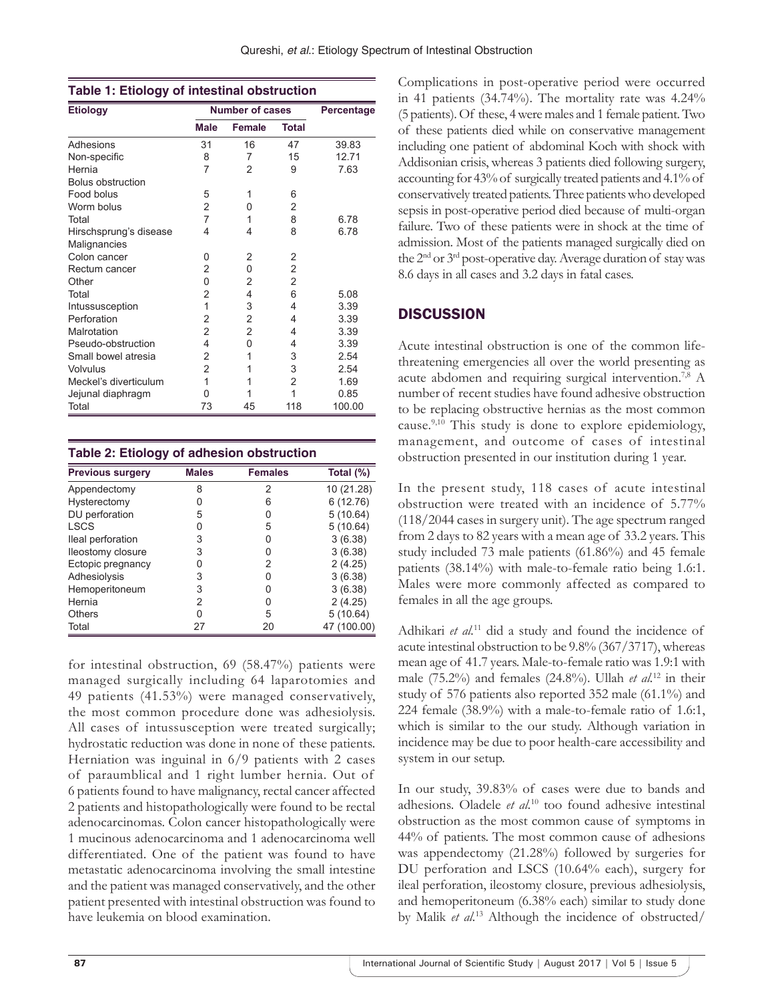| <b>Etiology</b>          | <b>Number of cases</b> |                |                | Percentage |
|--------------------------|------------------------|----------------|----------------|------------|
|                          | <b>Male</b>            | <b>Female</b>  | <b>Total</b>   |            |
| Adhesions                | 31                     | 16             | 47             | 39.83      |
| Non-specific             | 8                      | 7              | 15             | 12.71      |
| Hernia                   | 7                      | $\overline{2}$ | 9              | 7.63       |
| <b>Bolus obstruction</b> |                        |                |                |            |
| Food bolus               | 5                      | 1              | 6              |            |
| Worm bolus               | 2                      | 0              | 2              |            |
| Total                    | 7                      | 1              | 8              | 6.78       |
| Hirschsprung's disease   | 4                      | 4              | 8              | 6.78       |
| Malignancies             |                        |                |                |            |
| Colon cancer             | 0                      | 2              | 2              |            |
| Rectum cancer            | 2                      | 0              | $\overline{2}$ |            |
| Other                    | 0                      | 2              | 2              |            |
| Total                    | 2                      | 4              | 6              | 5.08       |
| Intussusception          | 1                      | 3              | 4              | 3.39       |
| Perforation              | 2                      | $\overline{2}$ | 4              | 3.39       |
| Malrotation              | $\overline{2}$         | $\overline{2}$ | 4              | 3.39       |
| Pseudo-obstruction       | 4                      | 0              | 4              | 3.39       |
| Small bowel atresia      | 2                      | 1              | 3              | 2.54       |
| Volvulus                 | $\overline{2}$         | 1              | 3              | 2.54       |
| Meckel's diverticulum    | 1                      | 1              | 2              | 1.69       |
| Jejunal diaphragm        | 0                      | 1              | 1              | 0.85       |
| Total                    | 73                     | 45             | 118            | 100.00     |

| <b>Previous surgery</b> | <b>Males</b> | <b>Females</b> | Total (%)   |
|-------------------------|--------------|----------------|-------------|
| Appendectomy            | 8            | 2              | 10 (21.28)  |
| Hysterectomy            | 0            | 6              | 6(12.76)    |
| DU perforation          | 5            | 0              | 5(10.64)    |
| LSCS                    | 0            | 5              | 5(10.64)    |
| lleal perforation       | 3            | O              | 3(6.38)     |
| lleostomy closure       | 3            | O              | 3(6.38)     |
| Ectopic pregnancy       | 0            | 2              | 2(4.25)     |
| Adhesiolysis            | 3            | O              | 3(6.38)     |
| Hemoperitoneum          | 3            | O              | 3(6.38)     |
| Hernia                  | 2            | U              | 2(4.25)     |
| Others                  | n            | 5              | 5(10.64)    |
| Total                   | 27           | 20             | 47 (100.00) |

for intestinal obstruction, 69 (58.47%) patients were managed surgically including 64 laparotomies and 49 patients (41.53%) were managed conservatively, the most common procedure done was adhesiolysis. All cases of intussusception were treated surgically; hydrostatic reduction was done in none of these patients. Herniation was inguinal in 6/9 patients with 2 cases of paraumblical and 1 right lumber hernia. Out of 6 patients found to have malignancy, rectal cancer affected 2 patients and histopathologically were found to be rectal adenocarcinomas. Colon cancer histopathologically were 1 mucinous adenocarcinoma and 1 adenocarcinoma well differentiated. One of the patient was found to have metastatic adenocarcinoma involving the small intestine and the patient was managed conservatively, and the other patient presented with intestinal obstruction was found to have leukemia on blood examination.

Complications in post-operative period were occurred in 41 patients (34.74%). The mortality rate was 4.24% (5 patients). Of these, 4 were males and 1 female patient. Two of these patients died while on conservative management including one patient of abdominal Koch with shock with Addisonian crisis, whereas 3 patients died following surgery, accounting for 43% of surgically treated patients and 4.1% of conservatively treated patients. Three patients who developed sepsis in post-operative period died because of multi-organ failure. Two of these patients were in shock at the time of admission. Most of the patients managed surgically died on the 2nd or 3rd post-operative day. Average duration of stay was 8.6 days in all cases and 3.2 days in fatal cases.

# **DISCUSSION**

Acute intestinal obstruction is one of the common lifethreatening emergencies all over the world presenting as acute abdomen and requiring surgical intervention.7,8 A number of recent studies have found adhesive obstruction to be replacing obstructive hernias as the most common cause.9,10 This study is done to explore epidemiology, management, and outcome of cases of intestinal obstruction presented in our institution during 1 year.

In the present study, 118 cases of acute intestinal obstruction were treated with an incidence of 5.77% (118/2044 cases in surgery unit). The age spectrum ranged from 2 days to 82 years with a mean age of 33.2 years. This study included 73 male patients (61.86%) and 45 female patients (38.14%) with male-to-female ratio being 1.6:1. Males were more commonly affected as compared to females in all the age groups.

Adhikari *et al.*11 did a study and found the incidence of acute intestinal obstruction to be 9.8% (367/3717), whereas mean age of 41.7 years. Male-to-female ratio was 1.9:1 with male (75.2%) and females (24.8%). Ullah *et al.*12 in their study of 576 patients also reported 352 male (61.1%) and 224 female (38.9%) with a male-to-female ratio of 1.6:1, which is similar to the our study. Although variation in incidence may be due to poor health-care accessibility and system in our setup.

In our study, 39.83% of cases were due to bands and adhesions. Oladele *et al.*10 too found adhesive intestinal obstruction as the most common cause of symptoms in 44% of patients. The most common cause of adhesions was appendectomy (21.28%) followed by surgeries for DU perforation and LSCS (10.64% each), surgery for ileal perforation, ileostomy closure, previous adhesiolysis, and hemoperitoneum (6.38% each) similar to study done by Malik *et al.*13 Although the incidence of obstructed/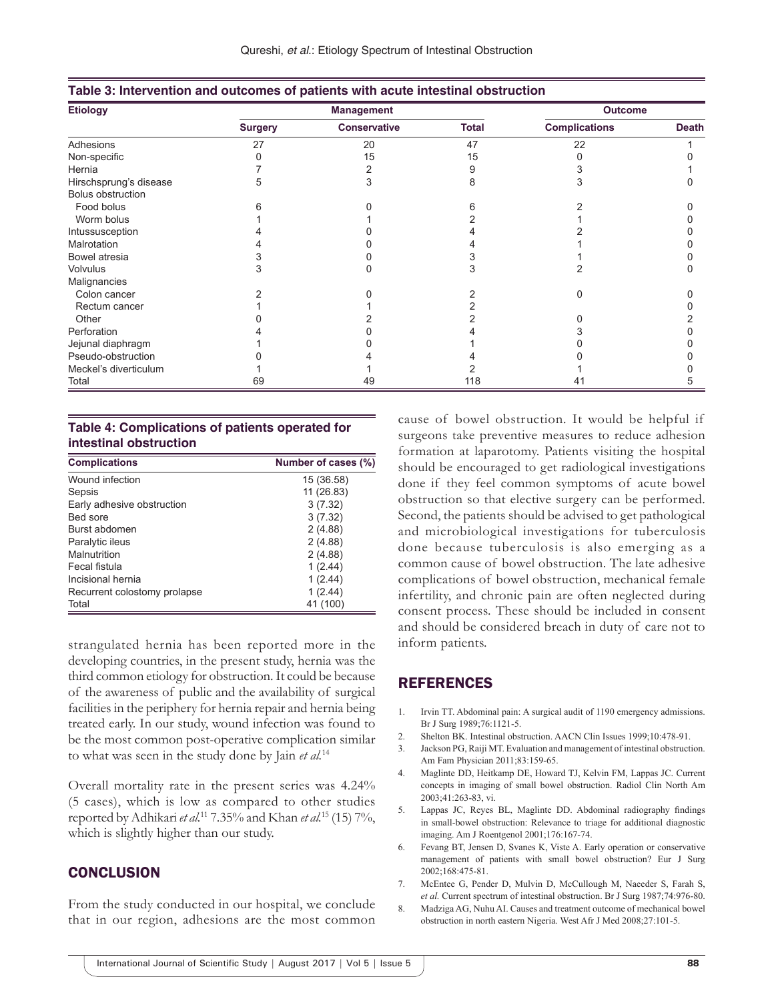| <b>Etiology</b>        | <b>Management</b> |                     |              | <b>Outcome</b>       |              |
|------------------------|-------------------|---------------------|--------------|----------------------|--------------|
|                        | <b>Surgery</b>    | <b>Conservative</b> | <b>Total</b> | <b>Complications</b> | <b>Death</b> |
| Adhesions              | 27                | 20                  | 47           | 22                   |              |
| Non-specific           |                   | 15                  | 15           |                      |              |
| Hernia                 |                   |                     |              |                      |              |
| Hirschsprung's disease | 5                 |                     | 8            | З                    |              |
| Bolus obstruction      |                   |                     |              |                      |              |
| Food bolus             |                   |                     |              |                      |              |
| Worm bolus             |                   |                     |              |                      |              |
| Intussusception        |                   |                     |              |                      |              |
| Malrotation            |                   |                     |              |                      |              |
| Bowel atresia          |                   |                     |              |                      |              |
| <b>Volvulus</b>        | З                 |                     | З            |                      |              |
| Malignancies           |                   |                     |              |                      |              |
| Colon cancer           |                   |                     |              |                      |              |
| Rectum cancer          |                   |                     |              |                      |              |
| Other                  |                   |                     |              |                      |              |
| Perforation            |                   |                     |              |                      |              |
| Jejunal diaphragm      |                   |                     |              |                      |              |
| Pseudo-obstruction     |                   |                     |              |                      |              |
| Meckel's diverticulum  |                   |                     |              |                      |              |
| Total                  | 69                | 49                  | 118          | 41                   |              |

| Table 3: Intervention and outcomes of patients with acute intestinal obstruction |  |  |  |
|----------------------------------------------------------------------------------|--|--|--|
|----------------------------------------------------------------------------------|--|--|--|

#### **Table 4: Complications of patients operated for intestinal obstruction**

| <b>Complications</b>         | Number of cases (%) |
|------------------------------|---------------------|
| Wound infection              | 15 (36.58)          |
| Sepsis                       | 11 (26.83)          |
| Early adhesive obstruction   | 3(7.32)             |
| Bed sore                     | 3(7.32)             |
| Burst abdomen                | 2(4.88)             |
| Paralytic ileus              | 2(4.88)             |
| Malnutrition                 | 2(4.88)             |
| Fecal fistula                | 1(2.44)             |
| Incisional hernia            | 1(2.44)             |
| Recurrent colostomy prolapse | 1(2.44)             |
| Total                        | 41 (100)            |

strangulated hernia has been reported more in the developing countries, in the present study, hernia was the third common etiology for obstruction. It could be because of the awareness of public and the availability of surgical facilities in the periphery for hernia repair and hernia being treated early. In our study, wound infection was found to be the most common post-operative complication similar to what was seen in the study done by Jain *et al.*<sup>14</sup>

Overall mortality rate in the present series was 4.24% (5 cases), which is low as compared to other studies reported by Adhikari *et al.*11 7.35% and Khan *et al.*15 (15) 7%, which is slightly higher than our study.

## **CONCLUSION**

From the study conducted in our hospital, we conclude that in our region, adhesions are the most common cause of bowel obstruction. It would be helpful if surgeons take preventive measures to reduce adhesion formation at laparotomy. Patients visiting the hospital should be encouraged to get radiological investigations done if they feel common symptoms of acute bowel obstruction so that elective surgery can be performed. Second, the patients should be advised to get pathological and microbiological investigations for tuberculosis done because tuberculosis is also emerging as a common cause of bowel obstruction. The late adhesive complications of bowel obstruction, mechanical female infertility, and chronic pain are often neglected during consent process. These should be included in consent and should be considered breach in duty of care not to inform patients.

### REFERENCES

- 1. Irvin TT. Abdominal pain: A surgical audit of 1190 emergency admissions. Br J Surg 1989;76:1121-5.
- 2. Shelton BK. Intestinal obstruction. AACN Clin Issues 1999;10:478-91.
- 3. Jackson PG, Raiji MT. Evaluation and management of intestinal obstruction. Am Fam Physician 2011;83:159-65.
- 4. Maglinte DD, Heitkamp DE, Howard TJ, Kelvin FM, Lappas JC. Current concepts in imaging of small bowel obstruction. Radiol Clin North Am 2003;41:263-83, vi.
- 5. Lappas JC, Reyes BL, Maglinte DD. Abdominal radiography findings in small-bowel obstruction: Relevance to triage for additional diagnostic imaging. Am J Roentgenol 2001;176:167-74.
- Fevang BT, Jensen D, Svanes K, Viste A. Early operation or conservative management of patients with small bowel obstruction? Eur J Surg 2002;168:475-81.
- 7. McEntee G, Pender D, Mulvin D, McCullough M, Naeeder S, Farah S, *et al.* Current spectrum of intestinal obstruction. Br J Surg 1987;74:976-80.
- 8. Madziga AG, Nuhu AI. Causes and treatment outcome of mechanical bowel obstruction in north eastern Nigeria. West Afr J Med 2008;27:101-5.